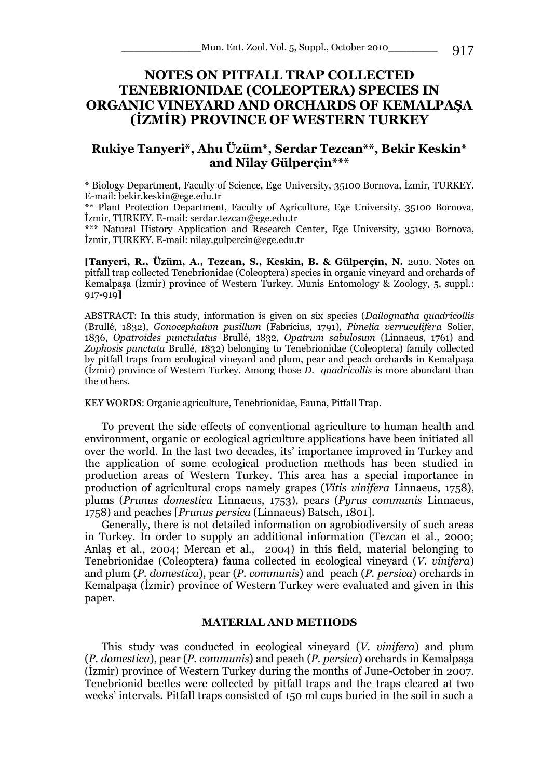# **NOTES ON PITFALL TRAP COLLECTED TENEBRIONIDAE (COLEOPTERA) SPECIES IN ORGANIC VINEYARD AND ORCHARDS OF KEMALPAŞA (İZMİR) PROVINCE OF WESTERN TURKEY**

## **Rukiye Tanyeri\*, Ahu Üzüm\*, Serdar Tezcan\*\*, Bekir Keskin\* and Nilay Gülperçin\*\*\***

\* Biology Department, Faculty of Science, Ege University, 35100 Bornova, İzmir, TURKEY. E-mail: bekir.keskin@ege.edu.tr

\*\* Plant Protection Department, Faculty of Agriculture, Ege University, 35100 Bornova, İzmir, TURKEY. E-mail: serdar.tezcan@ege.edu.tr

\*\*\* Natural History Application and Research Center, Ege University, 35100 Bornova, İzmir, TURKEY. E-mail: nilay.gulpercin@ege.edu.tr

**[Tanyeri, R., Üzüm, A., Tezcan, S., Keskin, B. & Gülperçin, N.** 2010. Notes on pitfall trap collected Tenebrionidae (Coleoptera) species in organic vineyard and orchards of Kemalpaşa (İzmir) province of Western Turkey. Munis Entomology & Zoology, 5, suppl.: 917-919**]**

ABSTRACT: In this study, information is given on six species (*Dailognatha quadricollis* (Brullé, 1832), *Gonocephalum pusillum* (Fabricius, 1791), *Pimelia verruculifera* Solier, 1836, *Opatroides punctulatus* Brullé, 1832, *Opatrum sabulosum* (Linnaeus, 1761) and *Zophosis punctata* Brullé, 1832) belonging to Tenebrionidae (Coleoptera) family collected by pitfall traps from ecological vineyard and plum, pear and peach orchards in Kemalpaşa (İzmir) province of Western Turkey. Among those *D. quadricollis* is more abundant than the others.

KEY WORDS: Organic agriculture, Tenebrionidae, Fauna, Pitfall Trap.

To prevent the side effects of conventional agriculture to human health and environment, organic or ecological agriculture applications have been initiated all over the world. In the last two decades, its' importance improved in Turkey and the application of some ecological production methods has been studied in production areas of Western Turkey. This area has a special importance in production of agricultural crops namely grapes (*Vitis vinifera* Linnaeus, 1758), plums (*Prunus domestica* Linnaeus, 1753), pears (*Pyrus communis* Linnaeus, 1758) and peaches [*Prunus persica* (Linnaeus) Batsch, 1801].

Generally, there is not detailed information on agrobiodiversity of such areas in Turkey. In order to supply an additional information (Tezcan et al., 2000; Anlaş et al., 2004; Mercan et al., 2004) in this field, material belonging to Tenebrionidae (Coleoptera) fauna collected in ecological vineyard (*V. vinifera*) and plum (*P. domestica*), pear (*P. communis*) and peach (*P. persica*) orchards in Kemalpaşa (İzmir) province of Western Turkey were evaluated and given in this paper.

## **MATERIAL AND METHODS**

This study was conducted in ecological vineyard (*V. vinifera*) and plum (*P. domestica*), pear (*P. communis*) and peach (*P. persica*) orchards in Kemalpaşa (İzmir) province of Western Turkey during the months of June-October in 2007. Tenebrionid beetles were collected by pitfall traps and the traps cleared at two weeks' intervals. Pitfall traps consisted of 150 ml cups buried in the soil in such a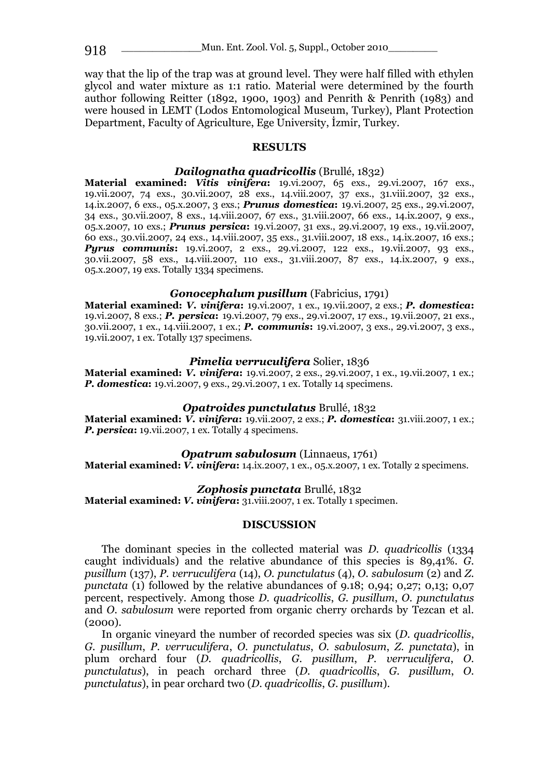way that the lip of the trap was at ground level. They were half filled with ethylen glycol and water mixture as 1:1 ratio. Material were determined by the fourth author following Reitter (1892, 1900, 1903) and Penrith & Penrith (1983) and were housed in LEMT (Lodos Entomological Museum, Turkey), Plant Protection Department, Faculty of Agriculture, Ege University, İzmir, Turkey.

## **RESULTS**

#### *Dailognatha quadricollis* (Brullé, 1832)

**Material examined:** *Vitis vinifera***:** 19.vi.2007, 65 exs., 29.vi.2007, 167 exs., 19.vii.2007, 74 exs., 30.vii.2007, 28 exs., 14.viii.2007, 37 exs., 31.viii.2007, 32 exs., 14.ix.2007, 6 exs., 05.x.2007, 3 exs.; *Prunus domestica***:** 19.vi.2007, 25 exs., 29.vi.2007, 34 exs., 30.vii.2007, 8 exs., 14.viii.2007, 67 exs., 31.viii.2007, 66 exs., 14.ix.2007, 9 exs., 05.x.2007, 10 exs.; *Prunus persica***:** 19.vi.2007, 31 exs., 29.vi.2007, 19 exs., 19.vii.2007, 60 exs., 30.vii.2007, 24 exs., 14.viii.2007, 35 exs., 31.viii.2007, 18 exs., 14.ix.2007, 16 exs.; *Pyrus communis***:** 19.vi.2007, 2 exs., 29.vi.2007, 122 exs., 19.vii.2007, 93 exs., 30.vii.2007, 58 exs., 14.viii.2007, 110 exs., 31.viii.2007, 87 exs., 14.ix.2007, 9 exs., 05.x.2007, 19 exs. Totally 1334 specimens.

#### *Gonocephalum pusillum* (Fabricius, 1791)

**Material examined:** *V. vinifera***:** 19.vi.2007, 1 ex., 19.vii.2007, 2 exs.; *P. domestica***:**  19.vi.2007, 8 exs.; *P. persica***:** 19.vi.2007, 79 exs., 29.vi.2007, 17 exs., 19.vii.2007, 21 exs., 30.vii.2007, 1 ex., 14.viii.2007, 1 ex.; *P. communis***:** 19.vi.2007, 3 exs., 29.vi.2007, 3 exs., 19.vii.2007, 1 ex. Totally 137 specimens.

## *Pimelia verruculifera* Solier, 1836

**Material examined:** *V. vinifera***:** 19.vi.2007, 2 exs., 29.vi.2007, 1 ex., 19.vii.2007, 1 ex.; *P. domestica***:** 19.vi.2007, 9 exs., 29.vi.2007, 1 ex. Totally 14 specimens.

### *Opatroides punctulatus* Brullé, 1832

**Material examined:** *V. vinifera***:** 19.vii.2007, 2 exs.; *P. domestica***:** 31.viii.2007, 1 ex.; *P. persica***:** 19.vii.2007, 1 ex. Totally 4 specimens.

#### *Opatrum sabulosum* (Linnaeus, 1761)

**Material examined:** *V. vinifera***:** 14.ix.2007, 1 ex., 05.x.2007, 1 ex. Totally 2 specimens.

#### *Zophosis punctata* Brullé, 1832

**Material examined:** *V. vinifera***:** 31.viii.2007, 1 ex. Totally 1 specimen.

#### **DISCUSSION**

The dominant species in the collected material was *D. quadricollis* (1334 caught individuals) and the relative abundance of this species is 89,41%. *G. pusillum* (137), *P. verruculifera* (14), *O. punctulatus* (4), *O. sabulosum* (2) and *Z. punctata* (1) followed by the relative abundances of 9.18; 0,94; 0,27; 0,13; 0,07 percent, respectively. Among those *D. quadricollis*, *G. pusillum*, *O. punctulatus* and *O. sabulosum* were reported from organic cherry orchards by Tezcan et al. (2000).

In organic vineyard the number of recorded species was six (*D. quadricollis*, *G. pusillum*, *P. verruculifera*, *O. punctulatus*, *O. sabulosum*, *Z. punctata*), in plum orchard four (*D. quadricollis*, *G. pusillum*, *P. verruculifera*, *O. punctulatus*), in peach orchard three (*D. quadricollis*, *G. pusillum*, *O. punctulatus*), in pear orchard two (*D. quadricollis*, *G. pusillum*).